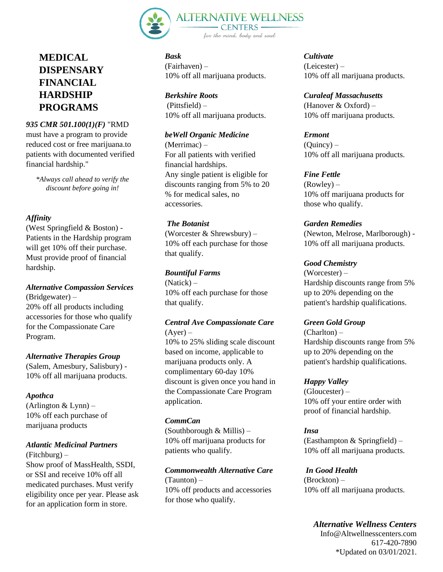

# **MEDICAL DISPENSARY FINANCIAL HARDSHIP PROGRAMS**

## *935 CMR 501.100(1)(F)* "RMD

must have a program to provide reduced cost or free marijuana.to patients with documented verified financial hardship."

*\*Always call ahead to verify the discount before going in!*

## *Affinity*

(West Springfield & Boston) - Patients in the Hardship program will get 10% off their purchase. Must provide proof of financial hardship.

## *Alternative Compassion Services*

(Bridgewater) – 20% off all products including accessories for those who qualify for the Compassionate Care Program.

## *Alternative Therapies Group*

(Salem, Amesbury, Salisbury) - 10% off all marijuana products.

## *Apothca*

 $(Arlington & Lynn)$ 10% off each purchase of marijuana products

## *Atlantic Medicinal Partners*

(Fitchburg) – Show proof of MassHealth, SSDI, or SSI and receive 10% off all medicated purchases. Must verify eligibility once per year. Please ask for an application form in store.

*Bask*  (Fairhaven) – 10% off all marijuana products.

*Berkshire Roots* (Pittsfield) – 10% off all marijuana products.

#### *beWell Organic Medicine*

(Merrimac) – For all patients with verified financial hardships. Any single patient is eligible for discounts ranging from 5% to 20 % for medical sales, no accessories.

#### *The Botanist*

(Worcester & Shrewsbury) – 10% off each purchase for those that qualify.

#### *Bountiful Farms*

(Natick) – 10% off each purchase for those that qualify.

#### *Central Ave Compassionate Care*  $(Ayer)$  –

10% to 25% sliding scale discount based on income, applicable to marijuana products only. A complimentary 60-day 10% discount is given once you hand in the Compassionate Care Program application.

## *CommCan*

(Southborough & Millis) – 10% off marijuana products for patients who qualify.

*Commonwealth Alternative Care* (Taunton) – 10% off products and accessories for those who qualify.

*Cultivate*  (Leicester) – 10% off all marijuana products.

*Curaleaf Massachusetts*  (Hanover & Oxford) – 10% off marijuana products.

## *Ermont*

 $(Quincv)$  – 10% off all marijuana products.

#### *Fine Fettle*

(Rowley) – 10% off marijuana products for those who qualify.

#### *Garden Remedies*

(Newton, Melrose, Marlborough) - 10% off all marijuana products.

#### *Good Chemistry*

(Worcester) – Hardship discounts range from 5% up to 20% depending on the patient's hardship qualifications.

#### *Green Gold Group*

 $(CharIton)$  – Hardship discounts range from 5% up to 20% depending on the patient's hardship qualifications.

#### *Happy Valley*

(Gloucester) – 10% off your entire order with proof of financial hardship.

## *Insa*

(Easthampton & Springfield) – 10% off all marijuana products.

*In Good Health*  (Brockton) – 10% off all marijuana products.

*Alternative Wellness Centers*  Info@Altwellnesscenters.com 617-420-7890 \*Updated on 03/01/2021.